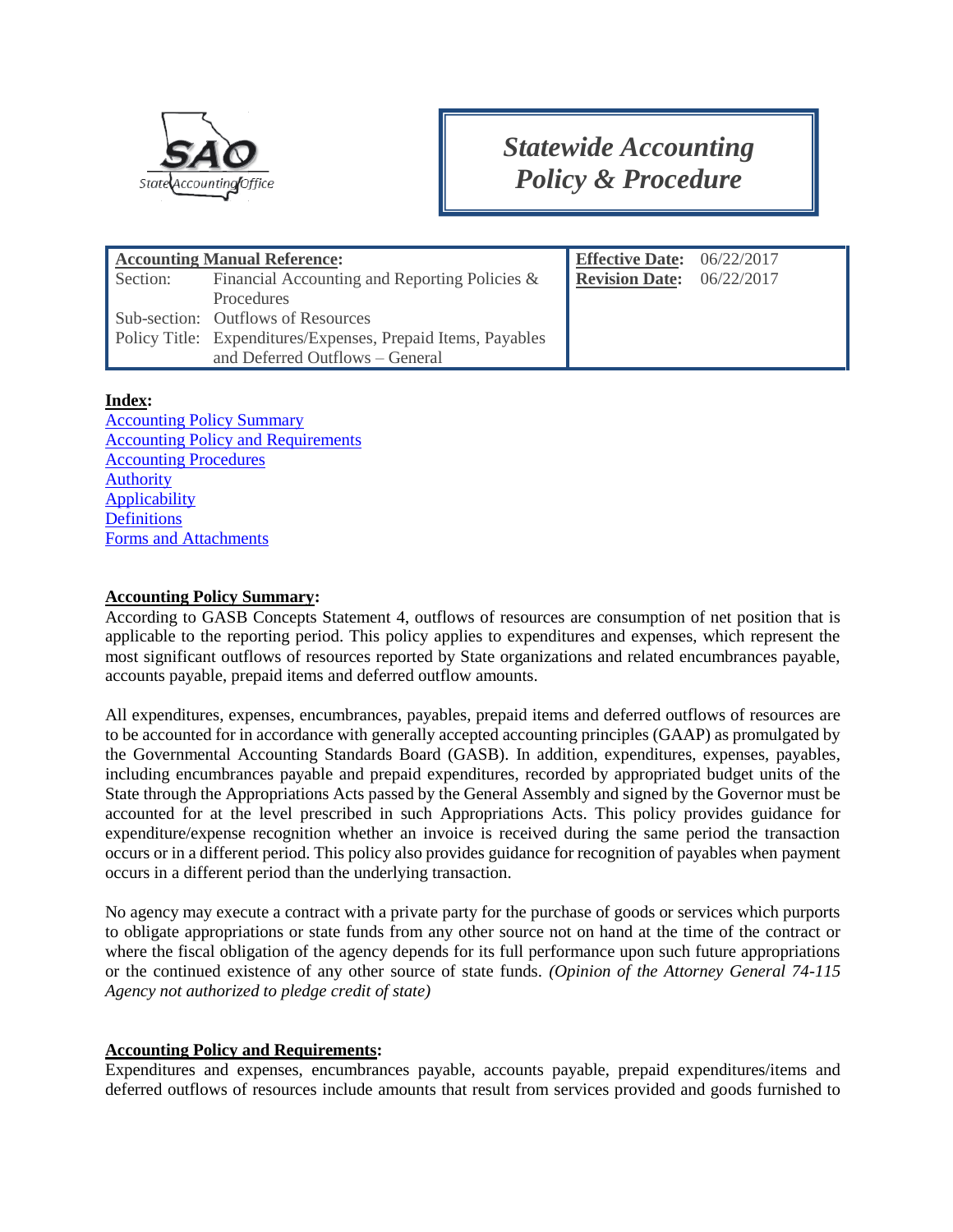

# *Statewide Accounting Policy & Procedure*

|          | <b>Accounting Manual Reference:</b>                          | <b>Effective Date:</b> $06/22/2017$ |            |
|----------|--------------------------------------------------------------|-------------------------------------|------------|
| Section: | Financial Accounting and Reporting Policies &                | <b>Revision Date:</b>               | 06/22/2017 |
|          | <b>Procedures</b>                                            |                                     |            |
|          | Sub-section: Outflows of Resources                           |                                     |            |
|          | Policy Title: Expenditures/Expenses, Prepaid Items, Payables |                                     |            |
|          | and Deferred Outflows - General                              |                                     |            |

#### **Index:**

[Accounting Policy Summary](#page-0-0) [Accounting Policy and Requirements](#page-0-1) [Accounting Procedures](#page-4-0) [Authority](#page-8-0) [Applicability](#page-9-0) **[Definitions](#page-9-1)** [Forms and Attachments](#page-10-0)

#### <span id="page-0-0"></span>**Accounting Policy Summary:**

According to GASB Concepts Statement 4, outflows of resources are consumption of net position that is applicable to the reporting period. This policy applies to expenditures and expenses, which represent the most significant outflows of resources reported by State organizations and related encumbrances payable, accounts payable, prepaid items and deferred outflow amounts.

All expenditures, expenses, encumbrances, payables, prepaid items and deferred outflows of resources are to be accounted for in accordance with generally accepted accounting principles (GAAP) as promulgated by the Governmental Accounting Standards Board (GASB). In addition, expenditures, expenses, payables, including encumbrances payable and prepaid expenditures, recorded by appropriated budget units of the State through the Appropriations Acts passed by the General Assembly and signed by the Governor must be accounted for at the level prescribed in such Appropriations Acts. This policy provides guidance for expenditure/expense recognition whether an invoice is received during the same period the transaction occurs or in a different period. This policy also provides guidance for recognition of payables when payment occurs in a different period than the underlying transaction.

No agency may execute a contract with a private party for the purchase of goods or services which purports to obligate appropriations or state funds from any other source not on hand at the time of the contract or where the fiscal obligation of the agency depends for its full performance upon such future appropriations or the continued existence of any other source of state funds. *(Opinion of the Attorney General 74-115 Agency not authorized to pledge credit of state)*

#### <span id="page-0-1"></span>**Accounting Policy and Requirements:**

Expenditures and expenses, encumbrances payable, accounts payable, prepaid expenditures/items and deferred outflows of resources include amounts that result from services provided and goods furnished to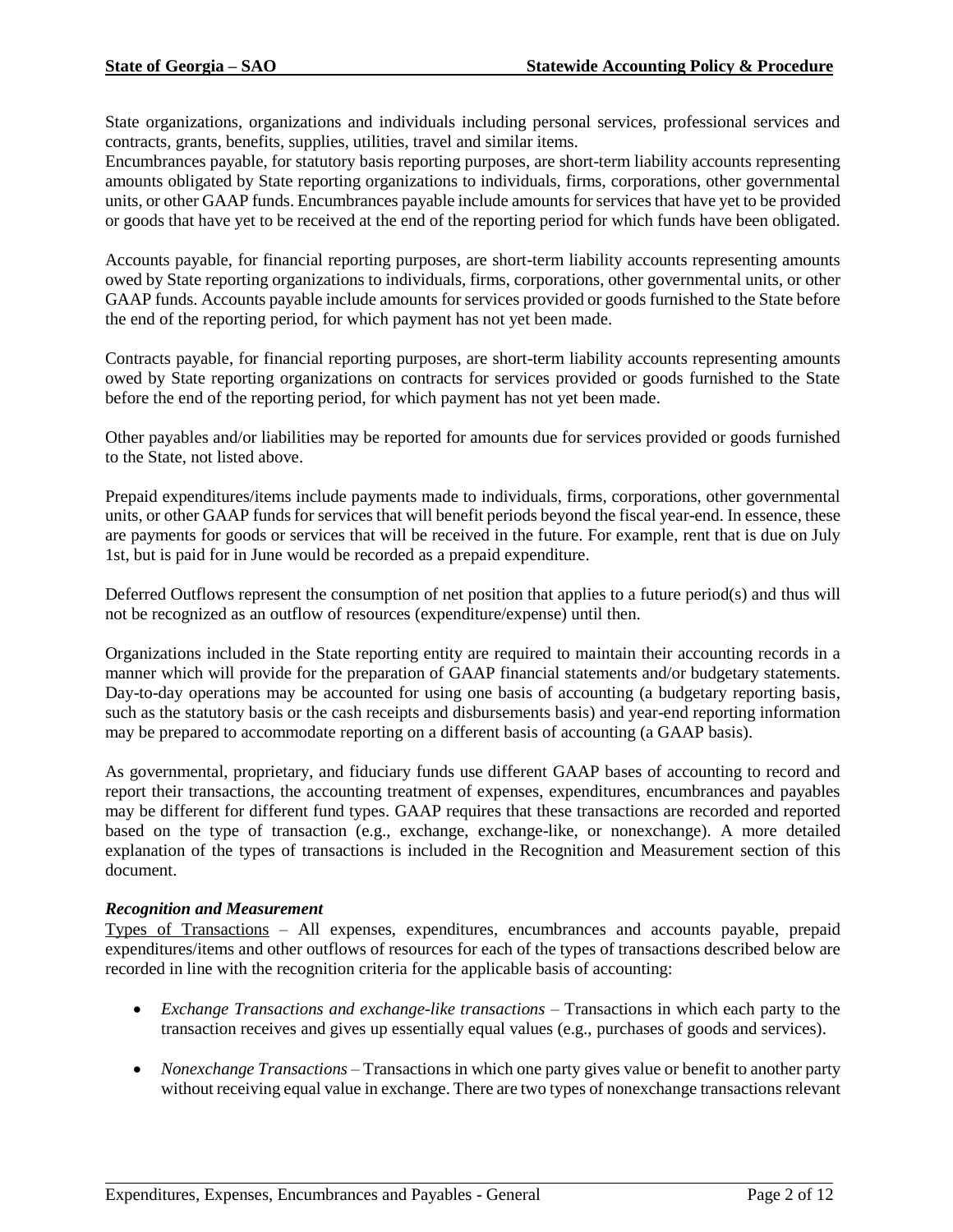State organizations, organizations and individuals including personal services, professional services and contracts, grants, benefits, supplies, utilities, travel and similar items.

Encumbrances payable, for statutory basis reporting purposes, are short-term liability accounts representing amounts obligated by State reporting organizations to individuals, firms, corporations, other governmental units, or other GAAP funds. Encumbrances payable include amounts for services that have yet to be provided or goods that have yet to be received at the end of the reporting period for which funds have been obligated.

Accounts payable, for financial reporting purposes, are short-term liability accounts representing amounts owed by State reporting organizations to individuals, firms, corporations, other governmental units, or other GAAP funds. Accounts payable include amounts for services provided or goods furnished to the State before the end of the reporting period, for which payment has not yet been made.

Contracts payable, for financial reporting purposes, are short-term liability accounts representing amounts owed by State reporting organizations on contracts for services provided or goods furnished to the State before the end of the reporting period, for which payment has not yet been made.

Other payables and/or liabilities may be reported for amounts due for services provided or goods furnished to the State, not listed above.

Prepaid expenditures/items include payments made to individuals, firms, corporations, other governmental units, or other GAAP funds for services that will benefit periods beyond the fiscal year-end. In essence, these are payments for goods or services that will be received in the future. For example, rent that is due on July 1st, but is paid for in June would be recorded as a prepaid expenditure.

Deferred Outflows represent the consumption of net position that applies to a future period(s) and thus will not be recognized as an outflow of resources (expenditure/expense) until then.

Organizations included in the State reporting entity are required to maintain their accounting records in a manner which will provide for the preparation of GAAP financial statements and/or budgetary statements. Day-to-day operations may be accounted for using one basis of accounting (a budgetary reporting basis, such as the statutory basis or the cash receipts and disbursements basis) and year-end reporting information may be prepared to accommodate reporting on a different basis of accounting (a GAAP basis).

As governmental, proprietary, and fiduciary funds use different GAAP bases of accounting to record and report their transactions, the accounting treatment of expenses, expenditures, encumbrances and payables may be different for different fund types. GAAP requires that these transactions are recorded and reported based on the type of transaction (e.g., exchange, exchange-like, or nonexchange). A more detailed explanation of the types of transactions is included in the Recognition and Measurement section of this document.

#### *Recognition and Measurement*

Types of Transactions – All expenses, expenditures, encumbrances and accounts payable, prepaid expenditures/items and other outflows of resources for each of the types of transactions described below are recorded in line with the recognition criteria for the applicable basis of accounting:

- *Exchange Transactions and exchange-like transactions* Transactions in which each party to the transaction receives and gives up essentially equal values (e.g., purchases of goods and services).
- *Nonexchange Transactions* Transactions in which one party gives value or benefit to another party without receiving equal value in exchange. There are two types of nonexchange transactions relevant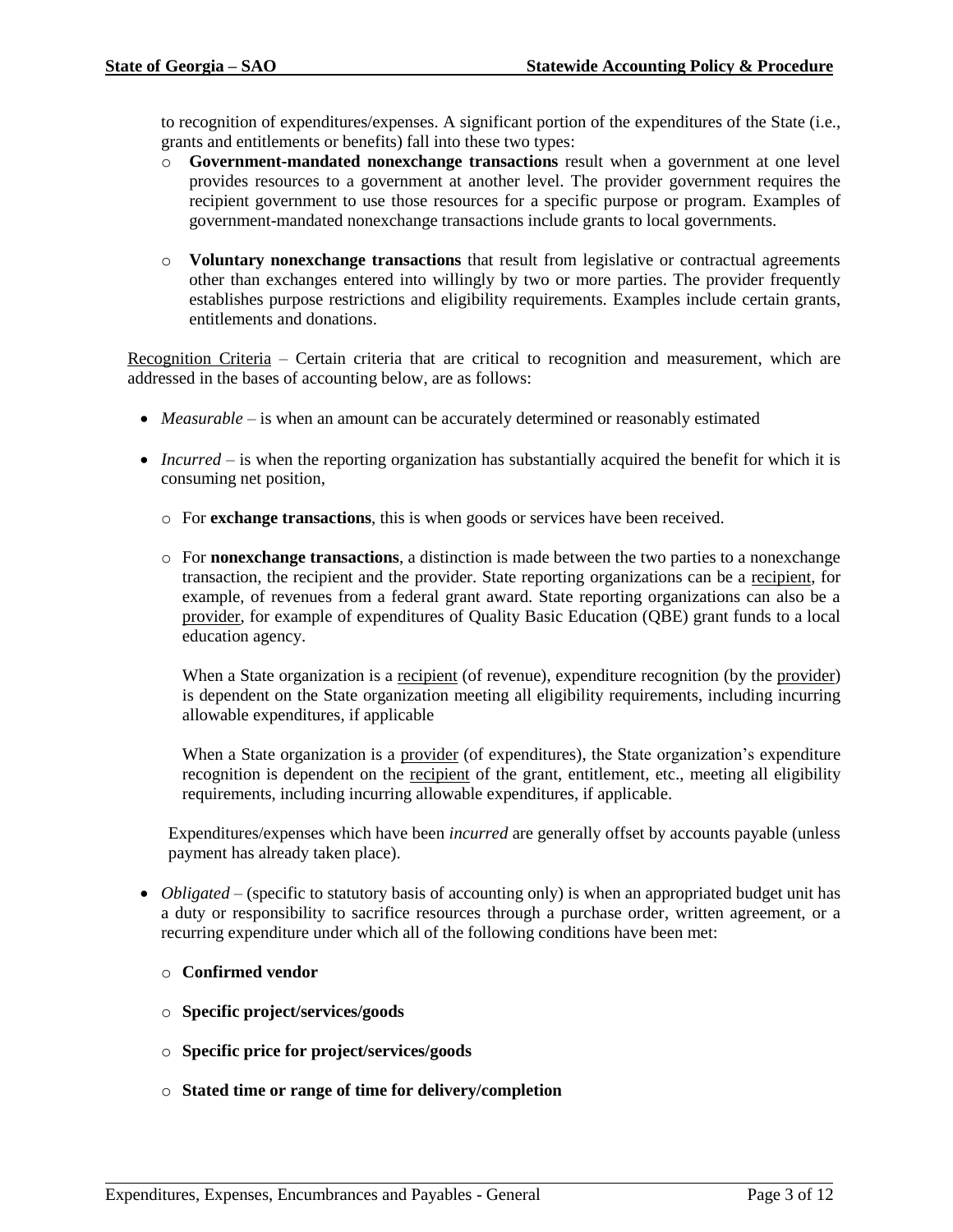to recognition of expenditures/expenses. A significant portion of the expenditures of the State (i.e., grants and entitlements or benefits) fall into these two types:

- o **Government-mandated nonexchange transactions** result when a government at one level provides resources to a government at another level. The provider government requires the recipient government to use those resources for a specific purpose or program. Examples of government-mandated nonexchange transactions include grants to local governments.
- o **Voluntary nonexchange transactions** that result from legislative or contractual agreements other than exchanges entered into willingly by two or more parties. The provider frequently establishes purpose restrictions and eligibility requirements. Examples include certain grants, entitlements and donations.

Recognition Criteria – Certain criteria that are critical to recognition and measurement, which are addressed in the bases of accounting below, are as follows:

- *Measurable* is when an amount can be accurately determined or reasonably estimated
- *Incurred* is when the reporting organization has substantially acquired the benefit for which it is consuming net position,
	- o For **exchange transactions**, this is when goods or services have been received.
	- o For **nonexchange transactions**, a distinction is made between the two parties to a nonexchange transaction, the recipient and the provider. State reporting organizations can be a recipient, for example, of revenues from a federal grant award. State reporting organizations can also be a provider, for example of expenditures of Quality Basic Education (QBE) grant funds to a local education agency.

When a State organization is a recipient (of revenue), expenditure recognition (by the provider) is dependent on the State organization meeting all eligibility requirements, including incurring allowable expenditures, if applicable

When a State organization is a provider (of expenditures), the State organization's expenditure recognition is dependent on the recipient of the grant, entitlement, etc., meeting all eligibility requirements, including incurring allowable expenditures, if applicable.

Expenditures/expenses which have been *incurred* are generally offset by accounts payable (unless payment has already taken place).

- *Obligated* (specific to statutory basis of accounting only) is when an appropriated budget unit has a duty or responsibility to sacrifice resources through a purchase order, written agreement, or a recurring expenditure under which all of the following conditions have been met:
	- o **Confirmed vendor**
	- o **Specific project/services/goods**
	- o **Specific price for project/services/goods**
	- o **Stated time or range of time for delivery/completion**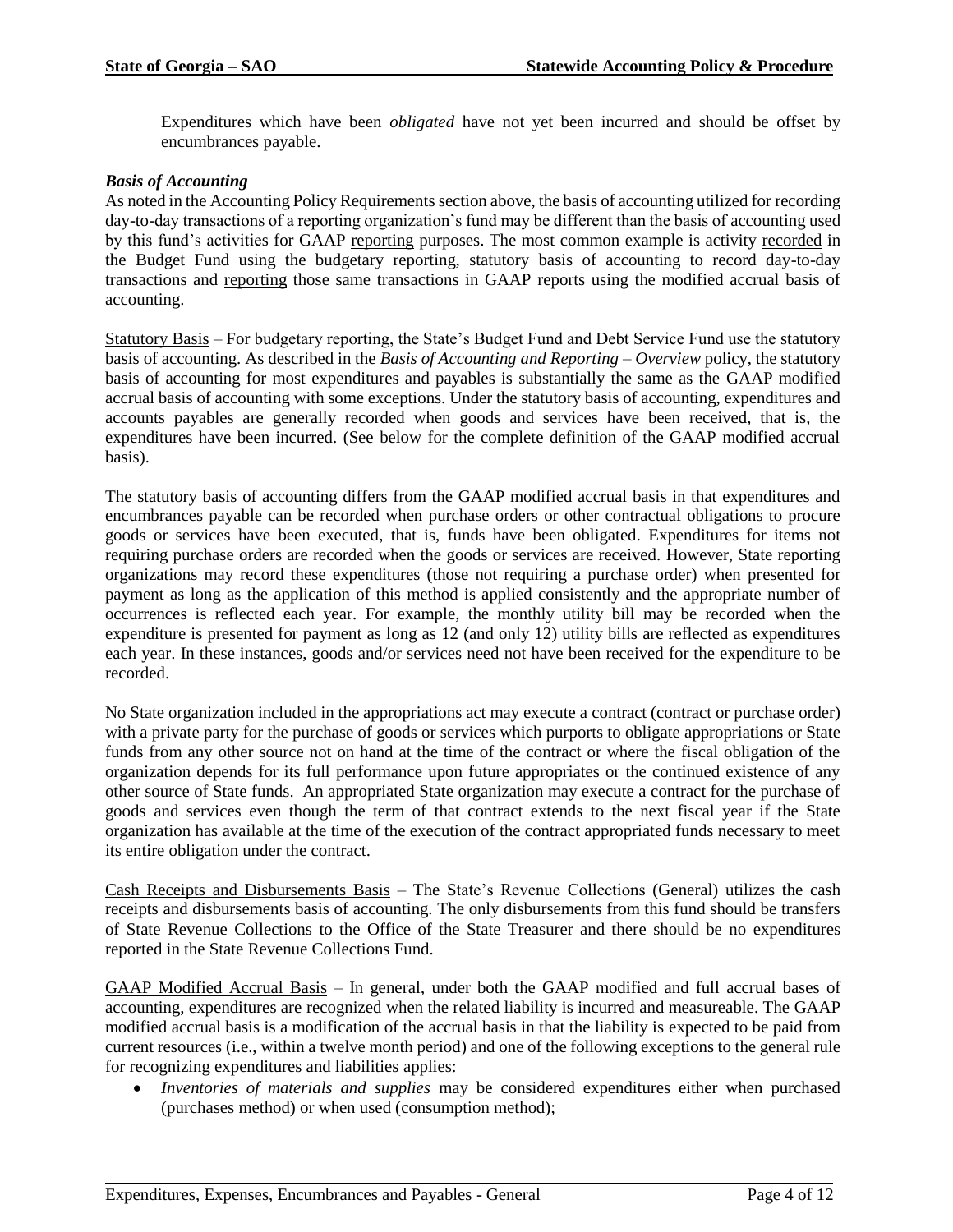Expenditures which have been *obligated* have not yet been incurred and should be offset by encumbrances payable.

#### *Basis of Accounting*

As noted in the Accounting Policy Requirements section above, the basis of accounting utilized for recording day-to-day transactions of a reporting organization's fund may be different than the basis of accounting used by this fund's activities for GAAP reporting purposes. The most common example is activity recorded in the Budget Fund using the budgetary reporting, statutory basis of accounting to record day-to-day transactions and reporting those same transactions in GAAP reports using the modified accrual basis of accounting.

Statutory Basis – For budgetary reporting, the State's Budget Fund and Debt Service Fund use the statutory basis of accounting. As described in the *Basis of Accounting and Reporting – Overview* policy, the statutory basis of accounting for most expenditures and payables is substantially the same as the GAAP modified accrual basis of accounting with some exceptions. Under the statutory basis of accounting, expenditures and accounts payables are generally recorded when goods and services have been received, that is, the expenditures have been incurred. (See below for the complete definition of the GAAP modified accrual basis).

The statutory basis of accounting differs from the GAAP modified accrual basis in that expenditures and encumbrances payable can be recorded when purchase orders or other contractual obligations to procure goods or services have been executed, that is, funds have been obligated. Expenditures for items not requiring purchase orders are recorded when the goods or services are received. However, State reporting organizations may record these expenditures (those not requiring a purchase order) when presented for payment as long as the application of this method is applied consistently and the appropriate number of occurrences is reflected each year. For example, the monthly utility bill may be recorded when the expenditure is presented for payment as long as 12 (and only 12) utility bills are reflected as expenditures each year. In these instances, goods and/or services need not have been received for the expenditure to be recorded.

No State organization included in the appropriations act may execute a contract (contract or purchase order) with a private party for the purchase of goods or services which purports to obligate appropriations or State funds from any other source not on hand at the time of the contract or where the fiscal obligation of the organization depends for its full performance upon future appropriates or the continued existence of any other source of State funds. An appropriated State organization may execute a contract for the purchase of goods and services even though the term of that contract extends to the next fiscal year if the State organization has available at the time of the execution of the contract appropriated funds necessary to meet its entire obligation under the contract.

Cash Receipts and Disbursements Basis – The State's Revenue Collections (General) utilizes the cash receipts and disbursements basis of accounting. The only disbursements from this fund should be transfers of State Revenue Collections to the Office of the State Treasurer and there should be no expenditures reported in the State Revenue Collections Fund.

GAAP Modified Accrual Basis – In general, under both the GAAP modified and full accrual bases of accounting, expenditures are recognized when the related liability is incurred and measureable. The GAAP modified accrual basis is a modification of the accrual basis in that the liability is expected to be paid from current resources (i.e., within a twelve month period) and one of the following exceptions to the general rule for recognizing expenditures and liabilities applies:

• *Inventories of materials and supplies* may be considered expenditures either when purchased (purchases method) or when used (consumption method);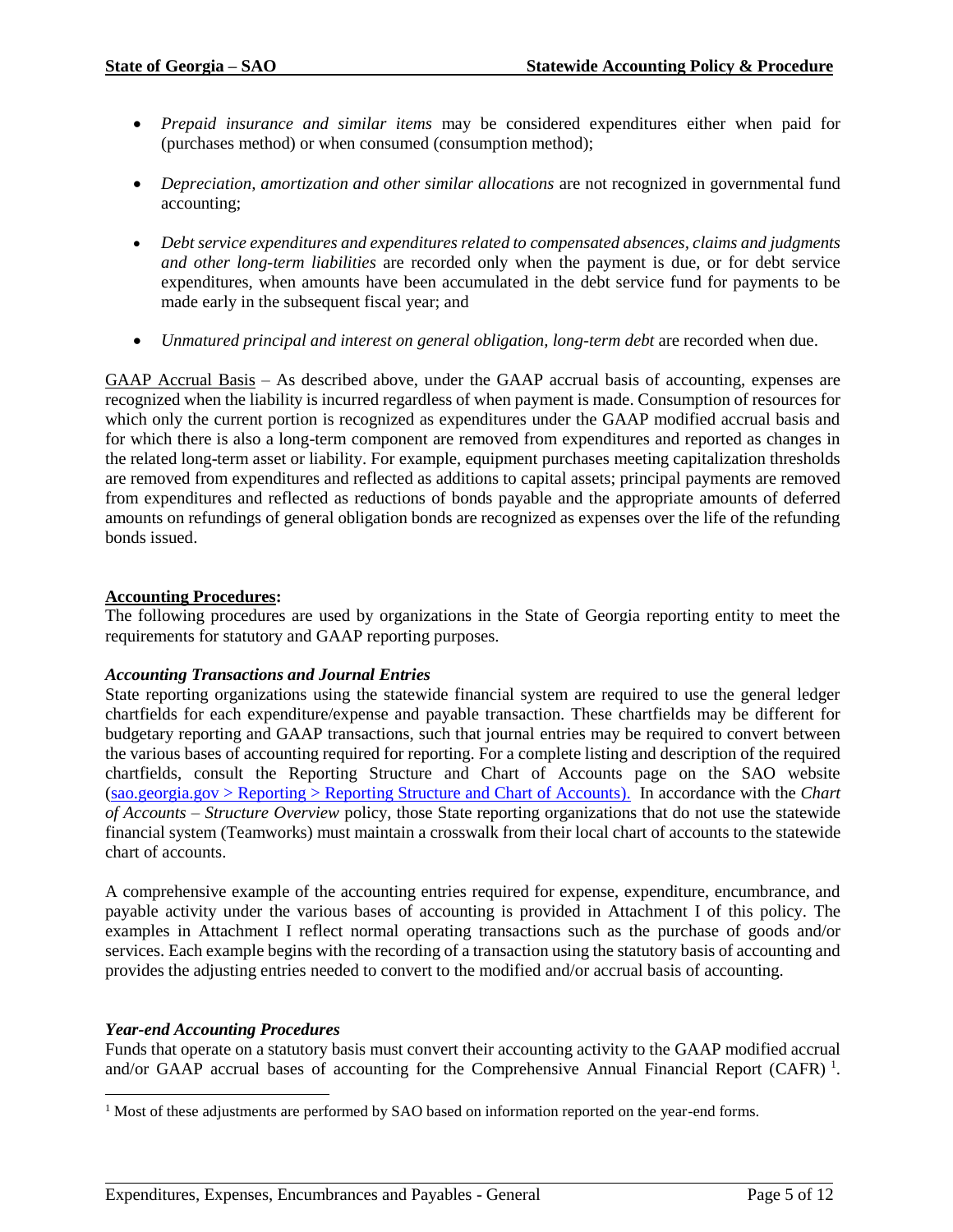- *Prepaid insurance and similar items* may be considered expenditures either when paid for (purchases method) or when consumed (consumption method);
- *Depreciation, amortization and other similar allocations* are not recognized in governmental fund accounting;
- *Debt service expenditures and expenditures related to compensated absences, claims and judgments and other long-term liabilities* are recorded only when the payment is due, or for debt service expenditures, when amounts have been accumulated in the debt service fund for payments to be made early in the subsequent fiscal year; and
- *Unmatured principal and interest on general obligation, long-term debt* are recorded when due.

GAAP Accrual Basis – As described above, under the GAAP accrual basis of accounting, expenses are recognized when the liability is incurred regardless of when payment is made. Consumption of resources for which only the current portion is recognized as expenditures under the GAAP modified accrual basis and for which there is also a long-term component are removed from expenditures and reported as changes in the related long-term asset or liability. For example, equipment purchases meeting capitalization thresholds are removed from expenditures and reflected as additions to capital assets; principal payments are removed from expenditures and reflected as reductions of bonds payable and the appropriate amounts of deferred amounts on refundings of general obligation bonds are recognized as expenses over the life of the refunding bonds issued.

#### <span id="page-4-0"></span>**Accounting Procedures:**

The following procedures are used by organizations in the State of Georgia reporting entity to meet the requirements for statutory and GAAP reporting purposes.

#### *Accounting Transactions and Journal Entries*

State reporting organizations using the statewide financial system are required to use the general ledger chartfields for each expenditure/expense and payable transaction. These chartfields may be different for budgetary reporting and GAAP transactions, such that journal entries may be required to convert between the various bases of accounting required for reporting. For a complete listing and description of the required chartfields, consult the Reporting Structure and Chart of Accounts page on the SAO website [\(sao.georgia.gov > Reporting > Reporting Structure and Chart of Accounts\)](http://sao.georgia.gov/reporting-structure-and-chart-accounts). In accordance with the *Chart of Accounts – Structure Overview* policy, those State reporting organizations that do not use the statewide financial system (Teamworks) must maintain a crosswalk from their local chart of accounts to the statewide chart of accounts.

A comprehensive example of the accounting entries required for expense, expenditure, encumbrance, and payable activity under the various bases of accounting is provided in Attachment I of this policy. The examples in Attachment I reflect normal operating transactions such as the purchase of goods and/or services. Each example begins with the recording of a transaction using the statutory basis of accounting and provides the adjusting entries needed to convert to the modified and/or accrual basis of accounting.

#### *Year-end Accounting Procedures*

l

Funds that operate on a statutory basis must convert their accounting activity to the GAAP modified accrual and/or GAAP accrual bases of accounting for the Comprehensive Annual Financial Report (CAFR)<sup>1</sup>.

<sup>&</sup>lt;sup>1</sup> Most of these adjustments are performed by SAO based on information reported on the year-end forms.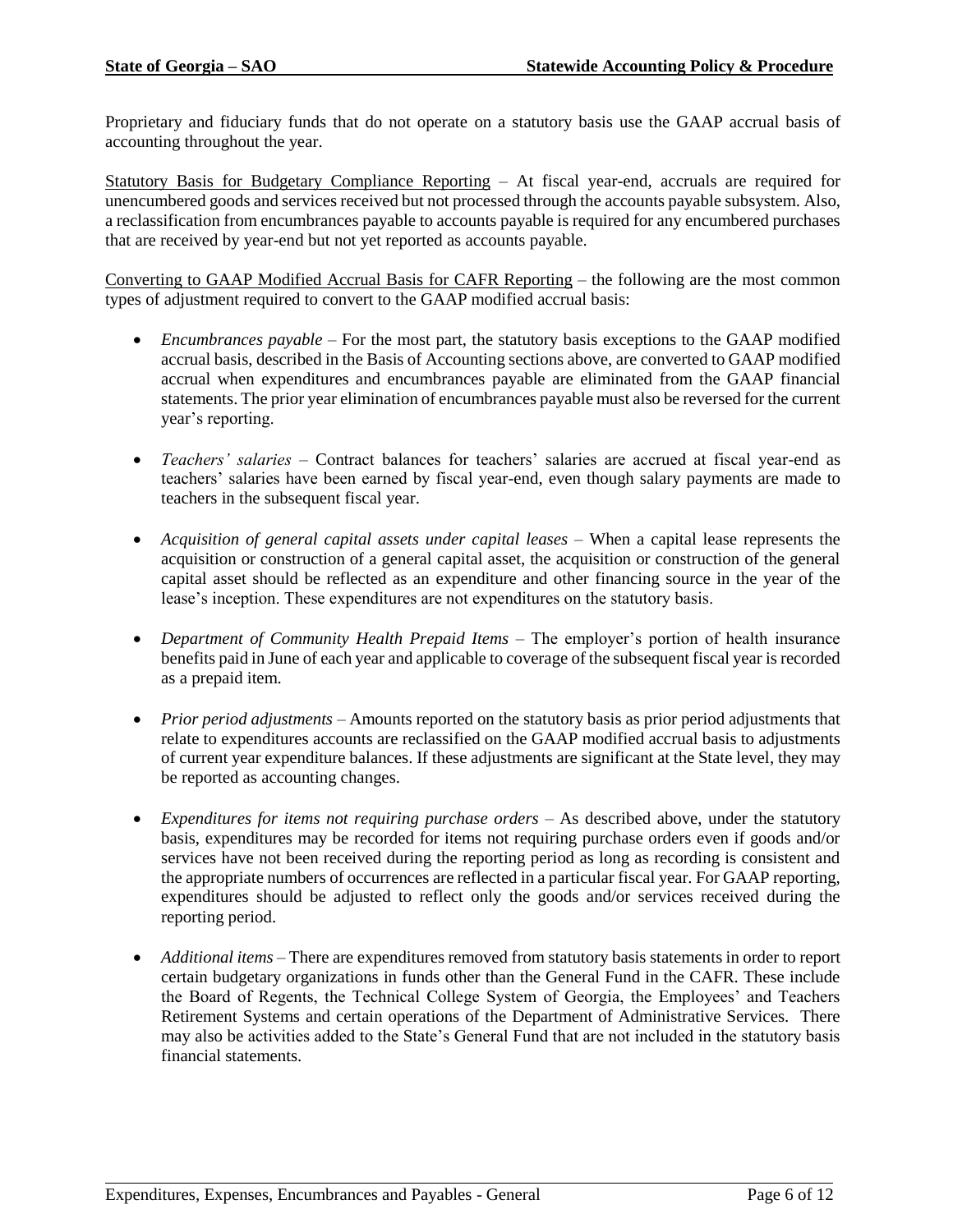Proprietary and fiduciary funds that do not operate on a statutory basis use the GAAP accrual basis of accounting throughout the year.

Statutory Basis for Budgetary Compliance Reporting – At fiscal year-end, accruals are required for unencumbered goods and services received but not processed through the accounts payable subsystem. Also, a reclassification from encumbrances payable to accounts payable is required for any encumbered purchases that are received by year-end but not yet reported as accounts payable.

Converting to GAAP Modified Accrual Basis for CAFR Reporting – the following are the most common types of adjustment required to convert to the GAAP modified accrual basis:

- *Encumbrances payable* For the most part, the statutory basis exceptions to the GAAP modified accrual basis, described in the Basis of Accounting sections above, are converted to GAAP modified accrual when expenditures and encumbrances payable are eliminated from the GAAP financial statements. The prior year elimination of encumbrances payable must also be reversed for the current year's reporting.
- *Teachers' salaries* Contract balances for teachers' salaries are accrued at fiscal year-end as teachers' salaries have been earned by fiscal year-end, even though salary payments are made to teachers in the subsequent fiscal year.
- *Acquisition of general capital assets under capital leases* When a capital lease represents the acquisition or construction of a general capital asset, the acquisition or construction of the general capital asset should be reflected as an expenditure and other financing source in the year of the lease's inception. These expenditures are not expenditures on the statutory basis.
- *Department of Community Health Prepaid Items* The employer's portion of health insurance benefits paid in June of each year and applicable to coverage of the subsequent fiscal year is recorded as a prepaid item.
- *Prior period adjustments* Amounts reported on the statutory basis as prior period adjustments that relate to expenditures accounts are reclassified on the GAAP modified accrual basis to adjustments of current year expenditure balances. If these adjustments are significant at the State level, they may be reported as accounting changes.
- *Expenditures for items not requiring purchase orders* As described above, under the statutory basis, expenditures may be recorded for items not requiring purchase orders even if goods and/or services have not been received during the reporting period as long as recording is consistent and the appropriate numbers of occurrences are reflected in a particular fiscal year. For GAAP reporting, expenditures should be adjusted to reflect only the goods and/or services received during the reporting period.
- *Additional items* There are expenditures removed from statutory basis statements in order to report certain budgetary organizations in funds other than the General Fund in the CAFR. These include the Board of Regents, the Technical College System of Georgia, the Employees' and Teachers Retirement Systems and certain operations of the Department of Administrative Services. There may also be activities added to the State's General Fund that are not included in the statutory basis financial statements.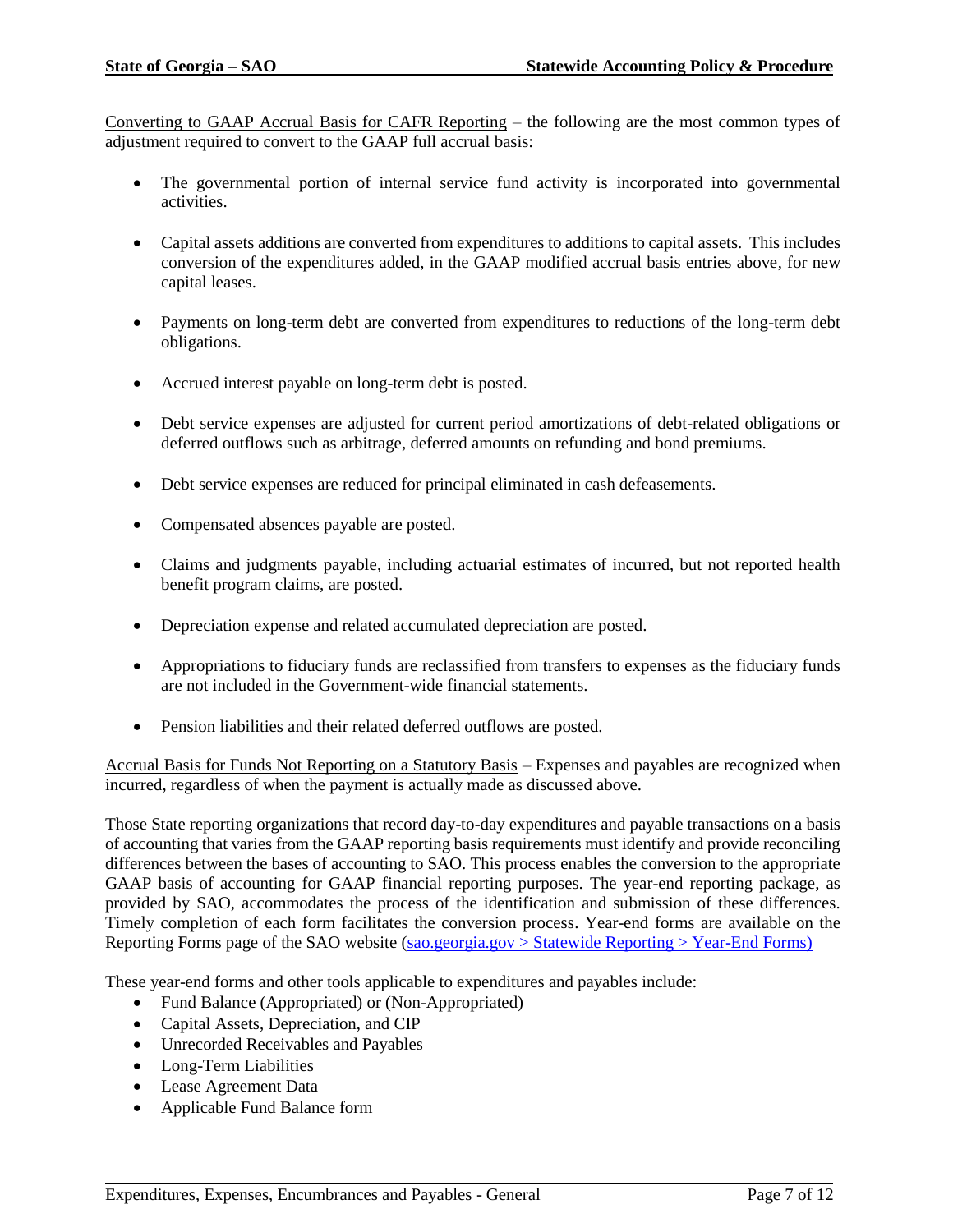Converting to GAAP Accrual Basis for CAFR Reporting – the following are the most common types of adjustment required to convert to the GAAP full accrual basis:

- The governmental portion of internal service fund activity is incorporated into governmental activities.
- Capital assets additions are converted from expenditures to additions to capital assets. This includes conversion of the expenditures added, in the GAAP modified accrual basis entries above, for new capital leases.
- Payments on long-term debt are converted from expenditures to reductions of the long-term debt obligations.
- Accrued interest payable on long-term debt is posted.
- Debt service expenses are adjusted for current period amortizations of debt-related obligations or deferred outflows such as arbitrage, deferred amounts on refunding and bond premiums.
- Debt service expenses are reduced for principal eliminated in cash defeasements.
- Compensated absences payable are posted.
- Claims and judgments payable, including actuarial estimates of incurred, but not reported health benefit program claims, are posted.
- Depreciation expense and related accumulated depreciation are posted.
- Appropriations to fiduciary funds are reclassified from transfers to expenses as the fiduciary funds are not included in the Government-wide financial statements.
- Pension liabilities and their related deferred outflows are posted.

Accrual Basis for Funds Not Reporting on a Statutory Basis – Expenses and payables are recognized when incurred, regardless of when the payment is actually made as discussed above.

Those State reporting organizations that record day-to-day expenditures and payable transactions on a basis of accounting that varies from the GAAP reporting basis requirements must identify and provide reconciling differences between the bases of accounting to SAO. This process enables the conversion to the appropriate GAAP basis of accounting for GAAP financial reporting purposes. The year-end reporting package, as provided by SAO, accommodates the process of the identification and submission of these differences. Timely completion of each form facilitates the conversion process. Year-end forms are available on the Reporting Forms page of the SAO website (sao.georgia.gov [> Statewide Reporting > Year-End](http://sao.georgia.gov/year-end-reporting) Forms)

These year-end forms and other tools applicable to expenditures and payables include:

- Fund Balance (Appropriated) or (Non-Appropriated)
- Capital Assets, Depreciation, and CIP
- Unrecorded Receivables and Payables
- Long-Term Liabilities
- Lease Agreement Data
- Applicable Fund Balance form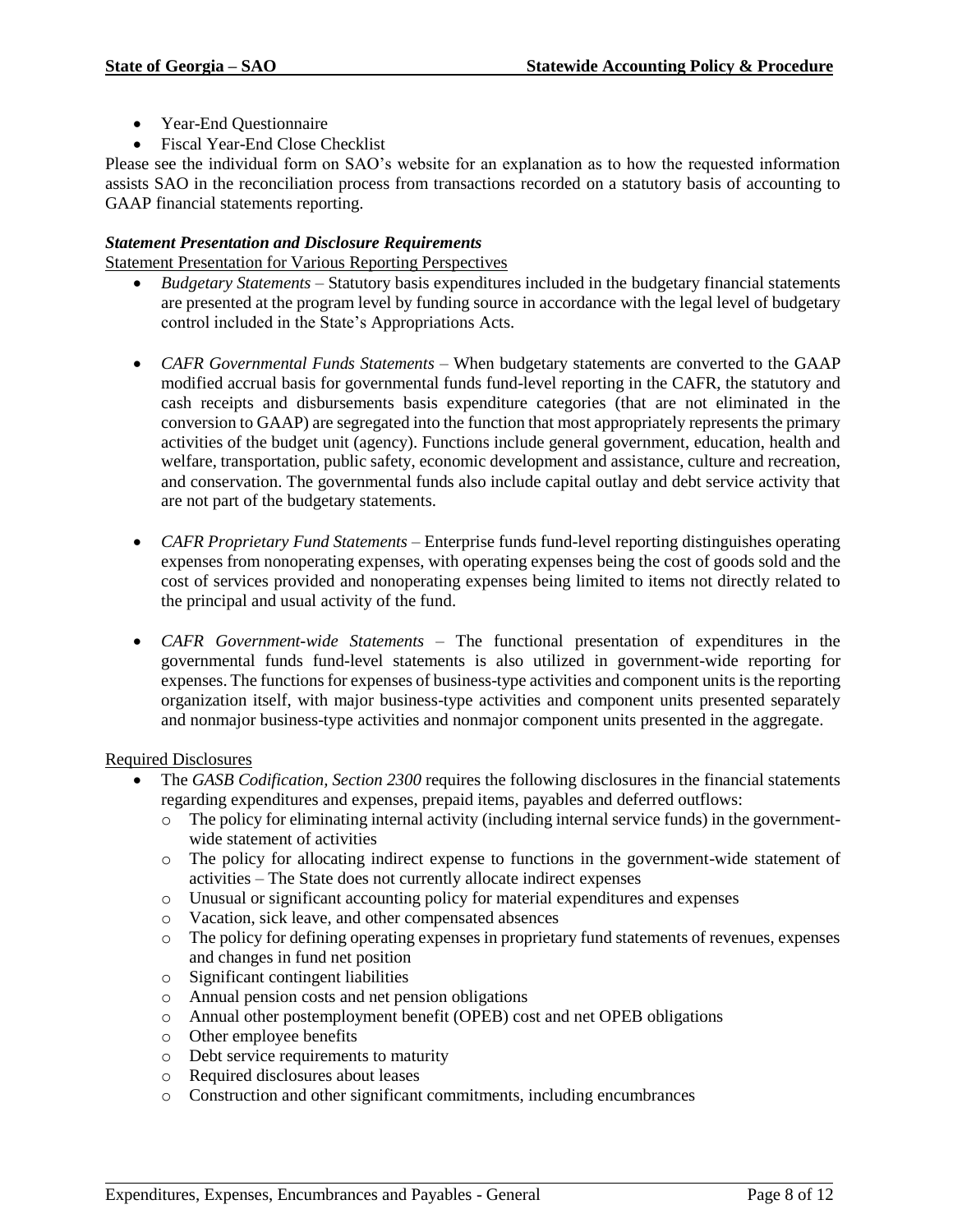- Year-End Questionnaire
- Fiscal Year-End Close Checklist

Please see the individual form on SAO's website for an explanation as to how the requested information assists SAO in the reconciliation process from transactions recorded on a statutory basis of accounting to GAAP financial statements reporting.

#### *Statement Presentation and Disclosure Requirements*

Statement Presentation for Various Reporting Perspectives

- *Budgetary Statements* Statutory basis expenditures included in the budgetary financial statements are presented at the program level by funding source in accordance with the legal level of budgetary control included in the State's Appropriations Acts.
- *CAFR Governmental Funds Statements* When budgetary statements are converted to the GAAP modified accrual basis for governmental funds fund-level reporting in the CAFR, the statutory and cash receipts and disbursements basis expenditure categories (that are not eliminated in the conversion to GAAP) are segregated into the function that most appropriately represents the primary activities of the budget unit (agency). Functions include general government, education, health and welfare, transportation, public safety, economic development and assistance, culture and recreation, and conservation. The governmental funds also include capital outlay and debt service activity that are not part of the budgetary statements.
- *CAFR Proprietary Fund Statements* Enterprise funds fund-level reporting distinguishes operating expenses from nonoperating expenses, with operating expenses being the cost of goods sold and the cost of services provided and nonoperating expenses being limited to items not directly related to the principal and usual activity of the fund.
- *CAFR Government-wide Statements* The functional presentation of expenditures in the governmental funds fund-level statements is also utilized in government-wide reporting for expenses. The functions for expenses of business-type activities and component units is the reporting organization itself, with major business-type activities and component units presented separately and nonmajor business-type activities and nonmajor component units presented in the aggregate.

#### Required Disclosures

- The *GASB Codification, Section 2300* requires the following disclosures in the financial statements regarding expenditures and expenses, prepaid items, payables and deferred outflows:
	- o The policy for eliminating internal activity (including internal service funds) in the governmentwide statement of activities
	- o The policy for allocating indirect expense to functions in the government-wide statement of activities – The State does not currently allocate indirect expenses
	- o Unusual or significant accounting policy for material expenditures and expenses
	- o Vacation, sick leave, and other compensated absences
	- o The policy for defining operating expenses in proprietary fund statements of revenues, expenses and changes in fund net position
	- o Significant contingent liabilities
	- o Annual pension costs and net pension obligations
	- o Annual other postemployment benefit (OPEB) cost and net OPEB obligations
	- o Other employee benefits
	- o Debt service requirements to maturity
	- o Required disclosures about leases
	- o Construction and other significant commitments, including encumbrances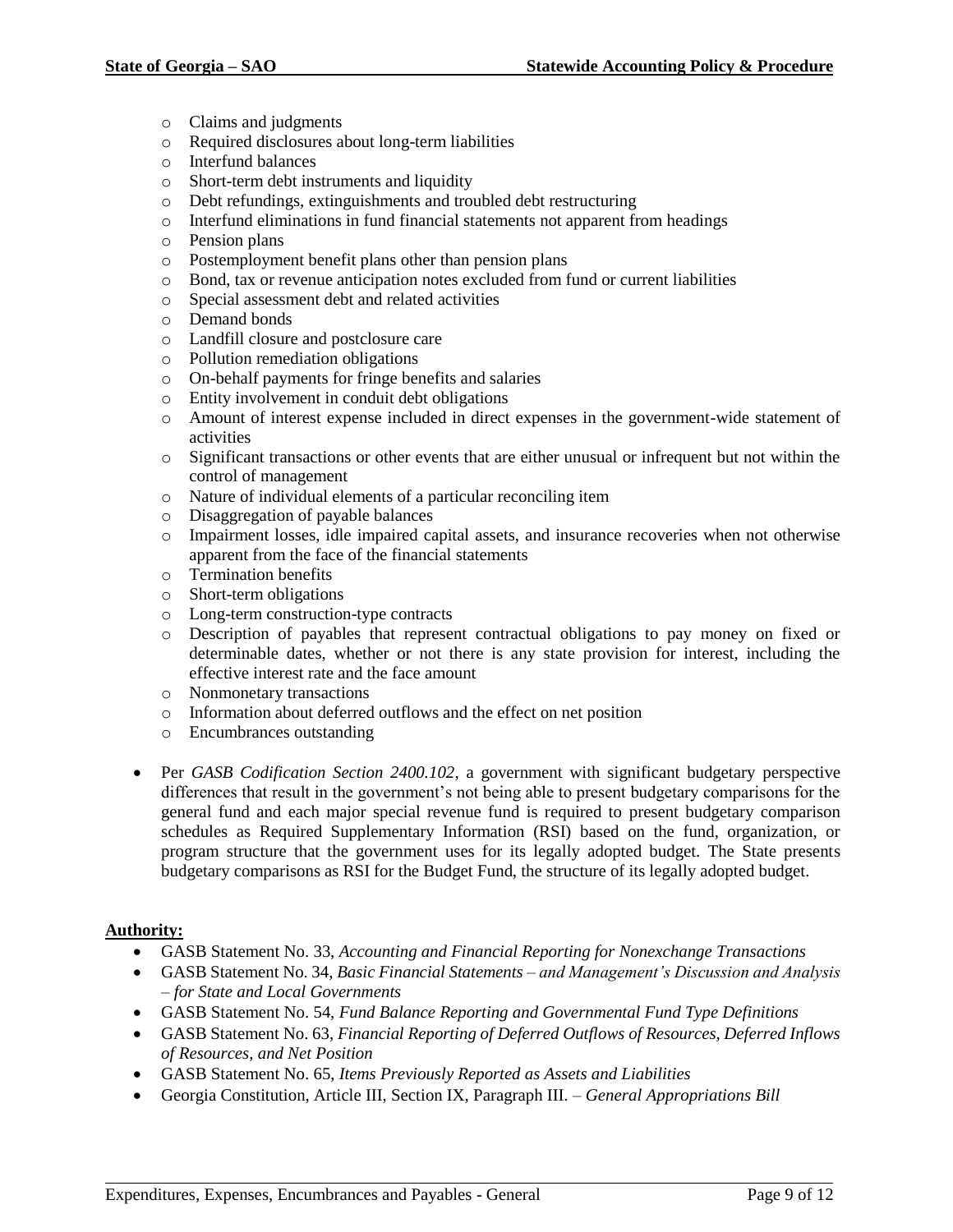- o Claims and judgments
- o Required disclosures about long-term liabilities
- o Interfund balances
- o Short-term debt instruments and liquidity
- o Debt refundings, extinguishments and troubled debt restructuring
- o Interfund eliminations in fund financial statements not apparent from headings
- o Pension plans
- o Postemployment benefit plans other than pension plans
- o Bond, tax or revenue anticipation notes excluded from fund or current liabilities
- o Special assessment debt and related activities
- o Demand bonds
- o Landfill closure and postclosure care
- o Pollution remediation obligations
- o On-behalf payments for fringe benefits and salaries
- o Entity involvement in conduit debt obligations
- o Amount of interest expense included in direct expenses in the government-wide statement of activities
- o Significant transactions or other events that are either unusual or infrequent but not within the control of management
- o Nature of individual elements of a particular reconciling item
- o Disaggregation of payable balances
- o Impairment losses, idle impaired capital assets, and insurance recoveries when not otherwise apparent from the face of the financial statements
- o Termination benefits
- o Short-term obligations
- o Long-term construction-type contracts
- o Description of payables that represent contractual obligations to pay money on fixed or determinable dates, whether or not there is any state provision for interest, including the effective interest rate and the face amount
- o Nonmonetary transactions
- o Information about deferred outflows and the effect on net position
- o Encumbrances outstanding
- Per *GASB Codification Section 2400.102*, a government with significant budgetary perspective differences that result in the government's not being able to present budgetary comparisons for the general fund and each major special revenue fund is required to present budgetary comparison schedules as Required Supplementary Information (RSI) based on the fund, organization, or program structure that the government uses for its legally adopted budget. The State presents budgetary comparisons as RSI for the Budget Fund, the structure of its legally adopted budget.

#### <span id="page-8-0"></span>**Authority:**

- GASB Statement No. 33, *Accounting and Financial Reporting for Nonexchange Transactions*
- GASB Statement No. 34, *Basic Financial Statements – and Management's Discussion and Analysis – for State and Local Governments*
- GASB Statement No. 54, *Fund Balance Reporting and Governmental Fund Type Definitions*
- GASB Statement No. 63, *Financial Reporting of Deferred Outflows of Resources, Deferred Inflows of Resources, and Net Position*
- GASB Statement No. 65, *Items Previously Reported as Assets and Liabilities*
- Georgia Constitution, Article III, Section IX, Paragraph III. *General Appropriations Bill*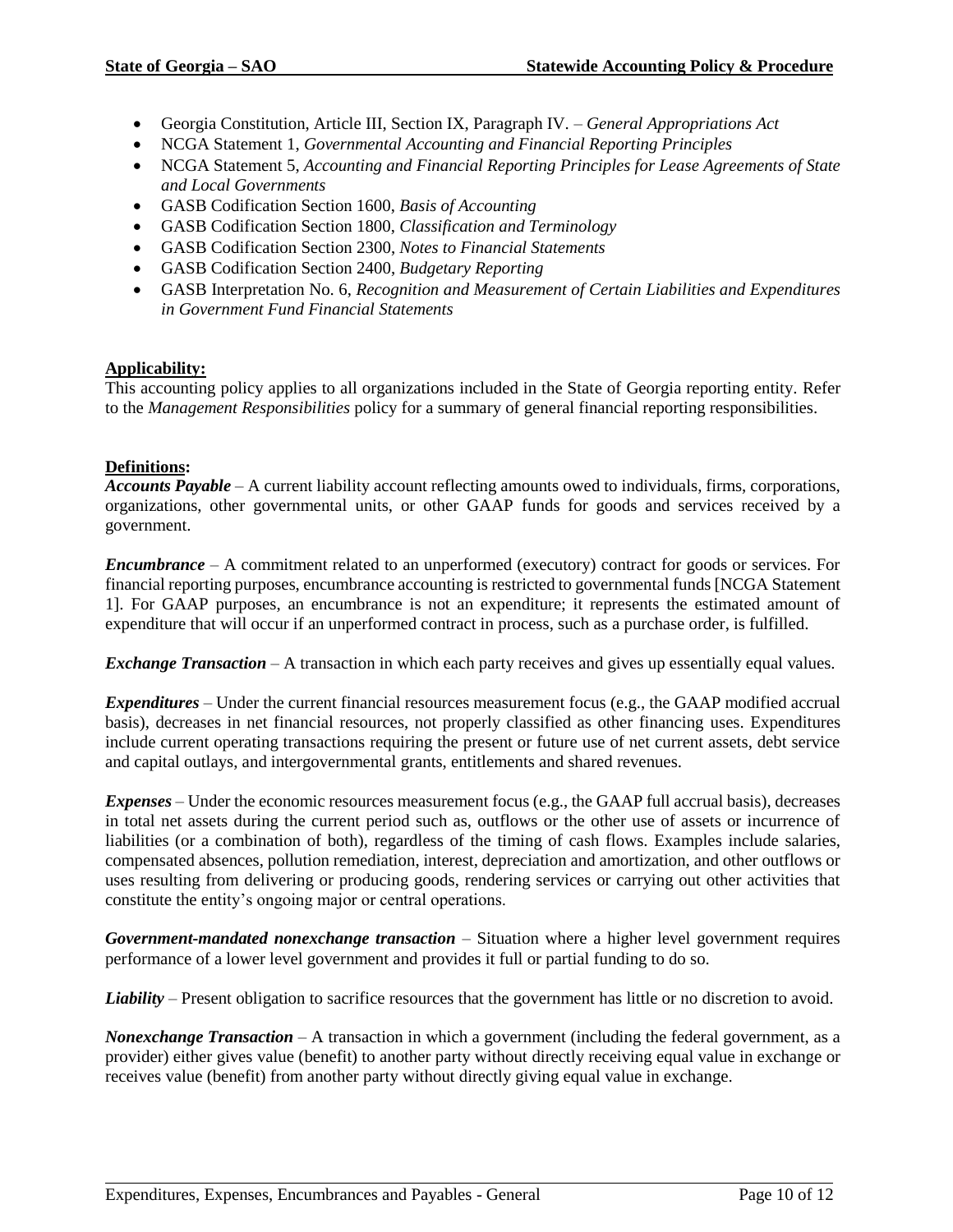- Georgia Constitution, Article III, Section IX, Paragraph IV. *General Appropriations Act*
- NCGA Statement 1, *Governmental Accounting and Financial Reporting Principles*
- NCGA Statement 5, *Accounting and Financial Reporting Principles for Lease Agreements of State and Local Governments*
- GASB Codification Section 1600, *Basis of Accounting*
- GASB Codification Section 1800, *Classification and Terminology*
- GASB Codification Section 2300, *Notes to Financial Statements*
- GASB Codification Section 2400, *Budgetary Reporting*
- GASB Interpretation No. 6, *Recognition and Measurement of Certain Liabilities and Expenditures in Government Fund Financial Statements*

## <span id="page-9-0"></span>**Applicability:**

This accounting policy applies to all organizations included in the State of Georgia reporting entity. Refer to the *Management Responsibilities* policy for a summary of general financial reporting responsibilities.

## <span id="page-9-1"></span>**Definitions:**

*Accounts Payable* – A current liability account reflecting amounts owed to individuals, firms, corporations, organizations, other governmental units, or other GAAP funds for goods and services received by a government.

*Encumbrance* – A commitment related to an unperformed (executory) contract for goods or services. For financial reporting purposes, encumbrance accounting is restricted to governmental funds [NCGA Statement 1]. For GAAP purposes, an encumbrance is not an expenditure; it represents the estimated amount of expenditure that will occur if an unperformed contract in process, such as a purchase order, is fulfilled.

*Exchange Transaction* – A transaction in which each party receives and gives up essentially equal values.

*Expenditures* – Under the current financial resources measurement focus (e.g., the GAAP modified accrual basis), decreases in net financial resources, not properly classified as other financing uses. Expenditures include current operating transactions requiring the present or future use of net current assets, debt service and capital outlays, and intergovernmental grants, entitlements and shared revenues.

*Expenses* – Under the economic resources measurement focus (e.g., the GAAP full accrual basis), decreases in total net assets during the current period such as, outflows or the other use of assets or incurrence of liabilities (or a combination of both), regardless of the timing of cash flows. Examples include salaries, compensated absences, pollution remediation, interest, depreciation and amortization, and other outflows or uses resulting from delivering or producing goods, rendering services or carrying out other activities that constitute the entity's ongoing major or central operations.

*Government-mandated nonexchange transaction* – Situation where a higher level government requires performance of a lower level government and provides it full or partial funding to do so.

*Liability* – Present obligation to sacrifice resources that the government has little or no discretion to avoid.

*Nonexchange Transaction* – A transaction in which a government (including the federal government, as a provider) either gives value (benefit) to another party without directly receiving equal value in exchange or receives value (benefit) from another party without directly giving equal value in exchange.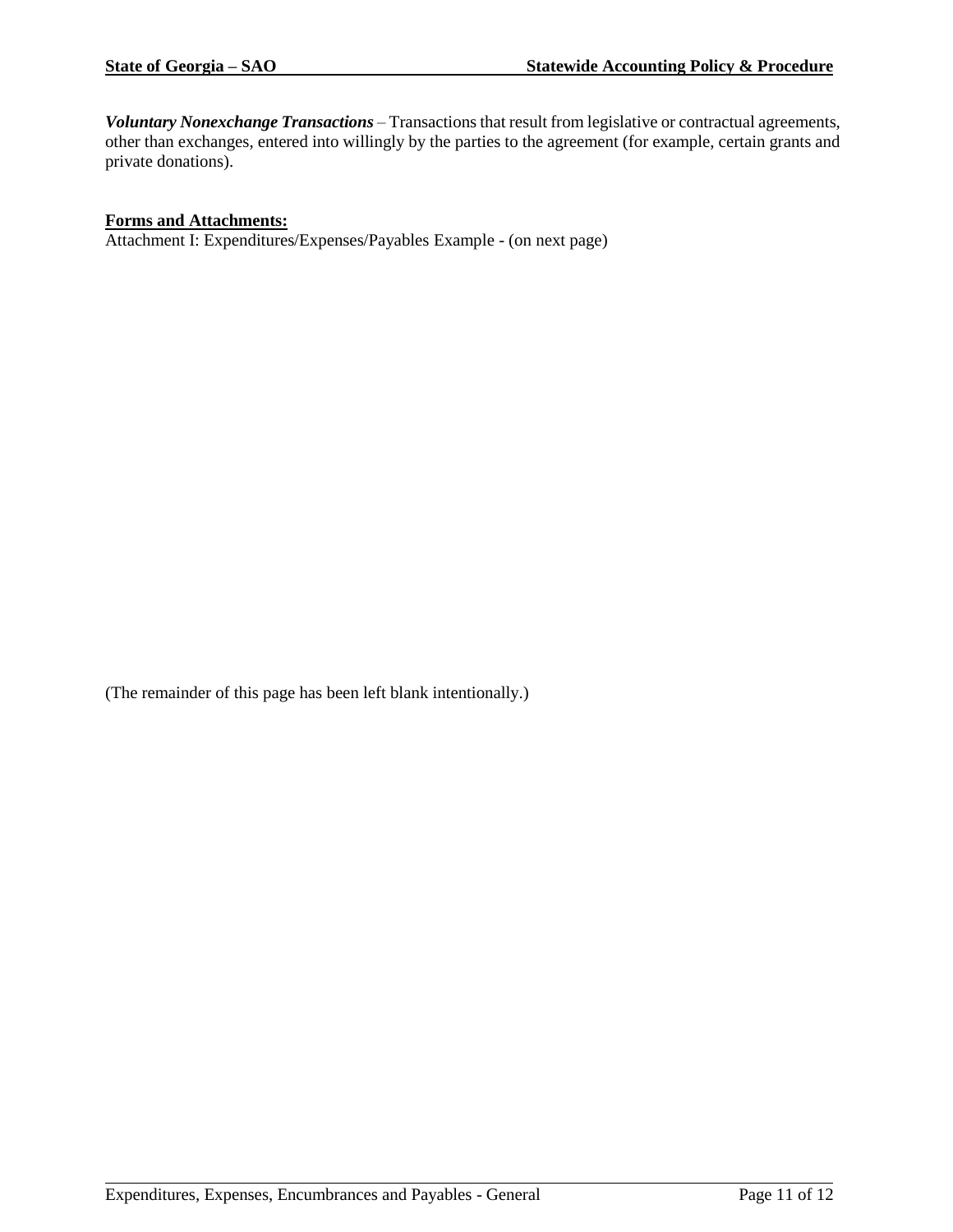*Voluntary Nonexchange Transactions* – Transactions that result from legislative or contractual agreements, other than exchanges, entered into willingly by the parties to the agreement (for example, certain grants and private donations).

#### <span id="page-10-0"></span>**Forms and Attachments:**

Attachment I: Expenditures/Expenses/Payables Example - (on next page)

(The remainder of this page has been left blank intentionally.)